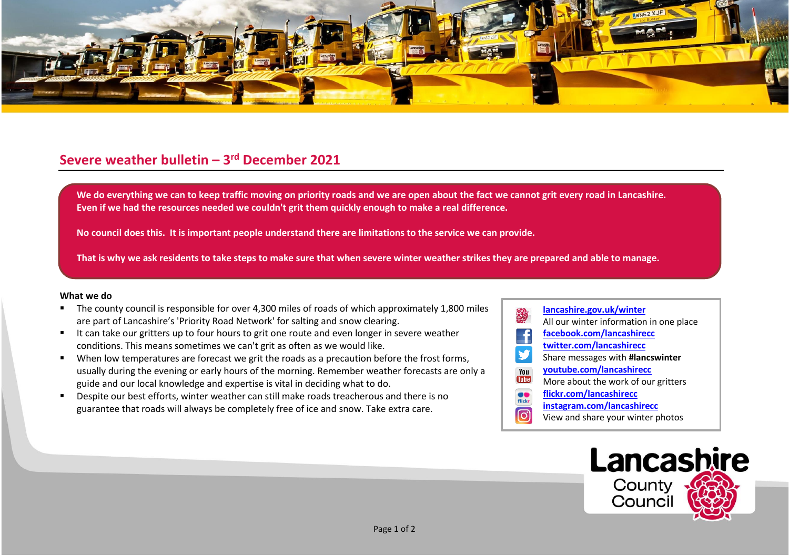

## **Severe weather bulletin – 3 rd December 2021**

We do everything we can to keep traffic moving on priority roads and we are open about the fact we cannot grit every road in Lancashire. **Even if we had the resources needed we couldn't grit them quickly enough to make a real difference.**

**No council does this. It is important people understand there are limitations to the service we can provide.**

**That is why we ask residents to take steps to make sure that when severe winter weather strikes they are prepared and able to manage.**

## **What we do**

- The county council is responsible for over 4,300 miles of roads of which approximately 1,800 miles are part of Lancashire's 'Priority Road Network' for salting and snow clearing.
- It can take our gritters up to four hours to grit one route and even longer in severe weather conditions. This means sometimes we can't grit as often as we would like.
- When low temperatures are forecast we grit the roads as a precaution before the frost forms, usually during the evening or early hours of the morning. Remember weather forecasts are only a guide and our local knowledge and expertise is vital in deciding what to do.
- Despite our best efforts, winter weather can still make roads treacherous and there is no guarantee that roads will always be completely free of ice and snow. Take extra care.
- **[lancashire.gov.uk/winter](http://www.lancashire.gov.uk/winter)** All our winter information in one place **[facebook.com/lancashirecc](http://www.facebook.com/lancashirecc) [twitter.com/lancashirecc](http://www.twitter.com/lancashirecc) y** Share messages with **#lancswinter [youtube.com/lancashirecc](http://www.youtube.com/lancashirecc)** You **Tilte** More about the work of our gritters  $\bullet$ **[flickr.com/lancashirecc](http://www.flickr.com/lancashirecc)** flickr **[instagram.com/lancashirecc](http://www.instagram.com/lancashirecc)** [O] View and share your winter photos